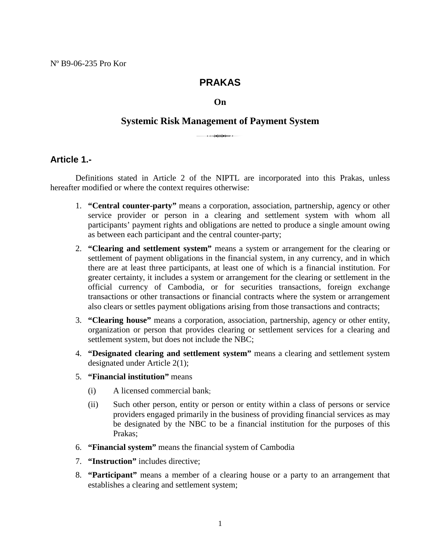# **PRAKAS**

#### **On**

# **Systemic Risk Management of Payment System**

**Article 1.-** 

 Definitions stated in Article 2 of the NIPTL are incorporated into this Prakas, unless hereafter modified or where the context requires otherwise:

- 1. **"Central counter-party"** means a corporation, association, partnership, agency or other service provider or person in a clearing and settlement system with whom all participants' payment rights and obligations are netted to produce a single amount owing as between each participant and the central counter-party;
- 2. **"Clearing and settlement system"** means a system or arrangement for the clearing or settlement of payment obligations in the financial system, in any currency, and in which there are at least three participants, at least one of which is a financial institution. For greater certainty, it includes a system or arrangement for the clearing or settlement in the official currency of Cambodia, or for securities transactions, foreign exchange transactions or other transactions or financial contracts where the system or arrangement also clears or settles payment obligations arising from those transactions and contracts;
- 3. **"Clearing house"** means a corporation, association, partnership, agency or other entity, organization or person that provides clearing or settlement services for a clearing and settlement system, but does not include the NBC;
- 4. **"Designated clearing and settlement system"** means a clearing and settlement system designated under Article 2(1);
- 5. **"Financial institution"** means
	- (i) A licensed commercial bank;
	- (ii) Such other person, entity or person or entity within a class of persons or service providers engaged primarily in the business of providing financial services as may be designated by the NBC to be a financial institution for the purposes of this Prakas;
- 6. **"Financial system"** means the financial system of Cambodia
- 7. **"Instruction"** includes directive;
- 8. **"Participant"** means a member of a clearing house or a party to an arrangement that establishes a clearing and settlement system;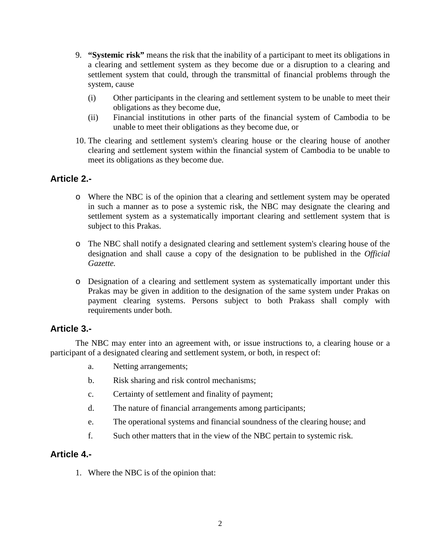- 9. **"Systemic risk"** means the risk that the inability of a participant to meet its obligations in a clearing and settlement system as they become due or a disruption to a clearing and settlement system that could, through the transmittal of financial problems through the system, cause
	- (i) Other participants in the clearing and settlement system to be unable to meet their obligations as they become due,
	- (ii) Financial institutions in other parts of the financial system of Cambodia to be unable to meet their obligations as they become due, or
- 10. The clearing and settlement system's clearing house or the clearing house of another clearing and settlement system within the financial system of Cambodia to be unable to meet its obligations as they become due.

## **Article 2.-**

- o Where the NBC is of the opinion that a clearing and settlement system may be operated in such a manner as to pose a systemic risk, the NBC may designate the clearing and settlement system as a systematically important clearing and settlement system that is subject to this Prakas.
- o The NBC shall notify a designated clearing and settlement system's clearing house of the designation and shall cause a copy of the designation to be published in the *Official Gazette.*
- o Designation of a clearing and settlement system as systematically important under this Prakas may be given in addition to the designation of the same system under Prakas on payment clearing systems. Persons subject to both Prakass shall comply with requirements under both.

## **Article 3.-**

The NBC may enter into an agreement with, or issue instructions to, a clearing house or a participant of a designated clearing and settlement system, or both, in respect of:

- a. Netting arrangements;
- b. Risk sharing and risk control mechanisms;
- c. Certainty of settlement and finality of payment;
- d. The nature of financial arrangements among participants;
- e. The operational systems and financial soundness of the clearing house; and
- f. Such other matters that in the view of the NBC pertain to systemic risk.

## **Article 4.-**

1. Where the NBC is of the opinion that: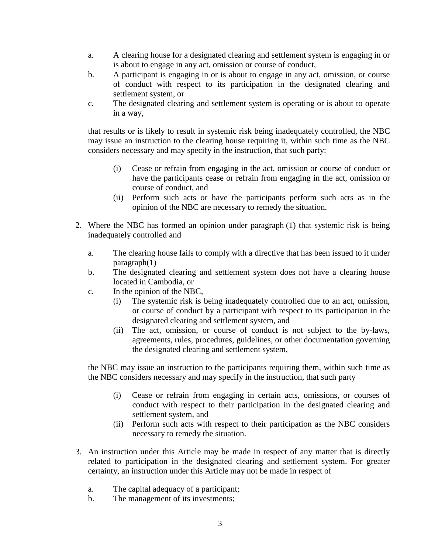- a. A clearing house for a designated clearing and settlement system is engaging in or is about to engage in any act, omission or course of conduct,
- b. A participant is engaging in or is about to engage in any act, omission, or course of conduct with respect to its participation in the designated clearing and settlement system, or
- c. The designated clearing and settlement system is operating or is about to operate in a way,

that results or is likely to result in systemic risk being inadequately controlled, the NBC may issue an instruction to the clearing house requiring it, within such time as the NBC considers necessary and may specify in the instruction, that such party:

- (i) Cease or refrain from engaging in the act, omission or course of conduct or have the participants cease or refrain from engaging in the act, omission or course of conduct, and
- (ii) Perform such acts or have the participants perform such acts as in the opinion of the NBC are necessary to remedy the situation.
- 2. Where the NBC has formed an opinion under paragraph (1) that systemic risk is being inadequately controlled and
	- a. The clearing house fails to comply with a directive that has been issued to it under paragraph(1)
	- b. The designated clearing and settlement system does not have a clearing house located in Cambodia, or
	- c. In the opinion of the NBC,
		- (i) The systemic risk is being inadequately controlled due to an act, omission, or course of conduct by a participant with respect to its participation in the designated clearing and settlement system, and
		- (ii) The act, omission, or course of conduct is not subject to the by-laws, agreements, rules, procedures, guidelines, or other documentation governing the designated clearing and settlement system,

the NBC may issue an instruction to the participants requiring them, within such time as the NBC considers necessary and may specify in the instruction, that such party

- (i) Cease or refrain from engaging in certain acts, omissions, or courses of conduct with respect to their participation in the designated clearing and settlement system, and
- (ii) Perform such acts with respect to their participation as the NBC considers necessary to remedy the situation.
- 3. An instruction under this Article may be made in respect of any matter that is directly related to participation in the designated clearing and settlement system. For greater certainty, an instruction under this Article may not be made in respect of
	- a. The capital adequacy of a participant;
	- b. The management of its investments;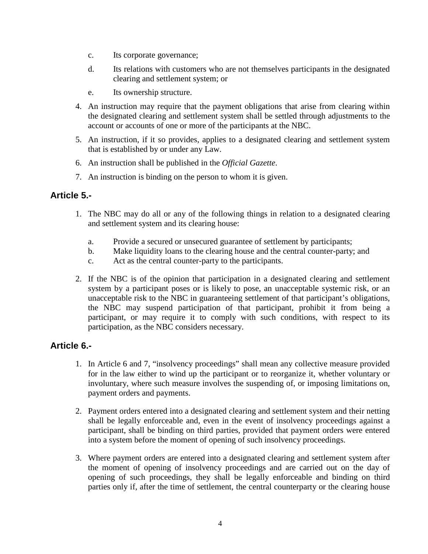- c. Its corporate governance;
- d. Its relations with customers who are not themselves participants in the designated clearing and settlement system; or
- e. Its ownership structure.
- 4. An instruction may require that the payment obligations that arise from clearing within the designated clearing and settlement system shall be settled through adjustments to the account or accounts of one or more of the participants at the NBC.
- 5. An instruction, if it so provides, applies to a designated clearing and settlement system that is established by or under any Law.
- 6. An instruction shall be published in the *Official Gazette*.
- 7. An instruction is binding on the person to whom it is given.

## **Article 5.-**

- 1. The NBC may do all or any of the following things in relation to a designated clearing and settlement system and its clearing house:
	- a. Provide a secured or unsecured guarantee of settlement by participants;
	- b. Make liquidity loans to the clearing house and the central counter-party; and
	- c. Act as the central counter-party to the participants.
- 2. If the NBC is of the opinion that participation in a designated clearing and settlement system by a participant poses or is likely to pose, an unacceptable systemic risk, or an unacceptable risk to the NBC in guaranteeing settlement of that participant's obligations, the NBC may suspend participation of that participant, prohibit it from being a participant, or may require it to comply with such conditions, with respect to its participation, as the NBC considers necessary.

## **Article 6.-**

- 1. In Article 6 and 7, "insolvency proceedings" shall mean any collective measure provided for in the law either to wind up the participant or to reorganize it, whether voluntary or involuntary, where such measure involves the suspending of, or imposing limitations on, payment orders and payments.
- 2. Payment orders entered into a designated clearing and settlement system and their netting shall be legally enforceable and, even in the event of insolvency proceedings against a participant, shall be binding on third parties, provided that payment orders were entered into a system before the moment of opening of such insolvency proceedings.
- 3. Where payment orders are entered into a designated clearing and settlement system after the moment of opening of insolvency proceedings and are carried out on the day of opening of such proceedings, they shall be legally enforceable and binding on third parties only if, after the time of settlement, the central counterparty or the clearing house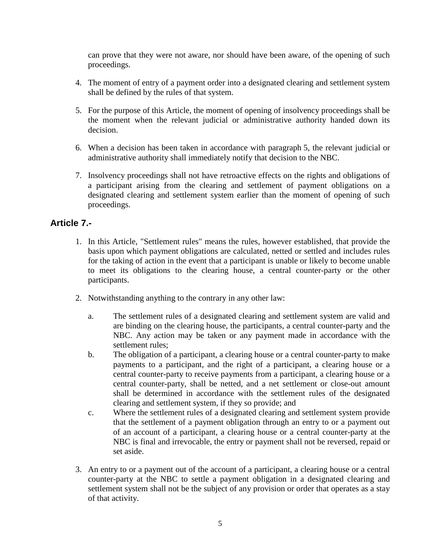can prove that they were not aware, nor should have been aware, of the opening of such proceedings.

- 4. The moment of entry of a payment order into a designated clearing and settlement system shall be defined by the rules of that system.
- 5. For the purpose of this Article, the moment of opening of insolvency proceedings shall be the moment when the relevant judicial or administrative authority handed down its decision.
- 6. When a decision has been taken in accordance with paragraph 5, the relevant judicial or administrative authority shall immediately notify that decision to the NBC.
- 7. Insolvency proceedings shall not have retroactive effects on the rights and obligations of a participant arising from the clearing and settlement of payment obligations on a designated clearing and settlement system earlier than the moment of opening of such proceedings.

## **Article 7.-**

- 1. In this Article, "Settlement rules" means the rules, however established, that provide the basis upon which payment obligations are calculated, netted or settled and includes rules for the taking of action in the event that a participant is unable or likely to become unable to meet its obligations to the clearing house, a central counter-party or the other participants.
- 2. Notwithstanding anything to the contrary in any other law:
	- a. The settlement rules of a designated clearing and settlement system are valid and are binding on the clearing house, the participants, a central counter-party and the NBC. Any action may be taken or any payment made in accordance with the settlement rules;
	- b. The obligation of a participant, a clearing house or a central counter-party to make payments to a participant, and the right of a participant, a clearing house or a central counter-party to receive payments from a participant, a clearing house or a central counter-party, shall be netted, and a net settlement or close-out amount shall be determined in accordance with the settlement rules of the designated clearing and settlement system, if they so provide; and
	- c. Where the settlement rules of a designated clearing and settlement system provide that the settlement of a payment obligation through an entry to or a payment out of an account of a participant, a clearing house or a central counter-party at the NBC is final and irrevocable, the entry or payment shall not be reversed, repaid or set aside.
- 3. An entry to or a payment out of the account of a participant, a clearing house or a central counter-party at the NBC to settle a payment obligation in a designated clearing and settlement system shall not be the subject of any provision or order that operates as a stay of that activity.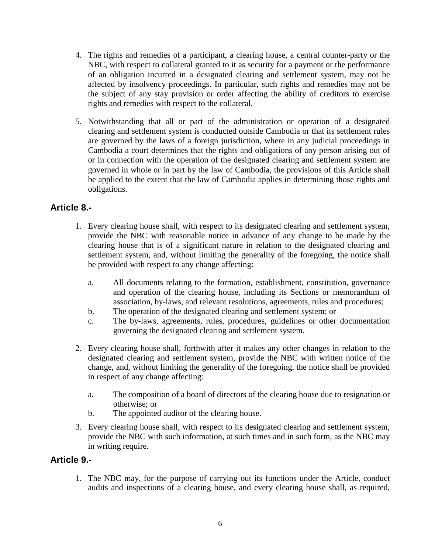- 4. The rights and remedies of a participant, a clearing house, a central counter-party or the NBC, with respect to collateral granted to it as security for a payment or the performance of an obligation incurred in a designated clearing and settlement system, may not be affected by insolvency proceedings. In particular, such rights and remedies may not be the subject of any stay provision or order affecting the ability of creditors to exercise rights and remedies with respect to the collateral.
- 5. Notwithstanding that all or part of the administration or operation of a designated clearing and settlement system is conducted outside Cambodia or that its settlement rules are governed by the laws of a foreign jurisdiction, where in any judicial proceedings in Cambodia a court determines that the rights and obligations of any person arising out of or in connection with the operation of the designated clearing and settlement system are governed in whole or in part by the law of Cambodia, the provisions of this Article shall be applied to the extent that the law of Cambodia applies in determining those rights and obligations.

# **Article 8.-**

- 1. Every clearing house shall, with respect to its designated clearing and settlement system, provide the NBC with reasonable notice in advance of any change to be made by the clearing house that is of a significant nature in relation to the designated clearing and settlement system, and, without limiting the generality of the foregoing, the notice shall be provided with respect to any change affecting:
	- a. All documents relating to the formation, establishment, constitution, governance and operation of the clearing house, including its Sections or memorandum of association, by-laws, and relevant resolutions, agreements, rules and procedures;
	- b. The operation of the designated clearing and settlement system; or
	- c. The by-laws, agreements, rules, procedures, guidelines or other documentation governing the designated clearing and settlement system.
- 2. Every clearing house shall, forthwith after it makes any other changes in relation to the designated clearing and settlement system, provide the NBC with written notice of the change, and, without limiting the generality of the foregoing, the notice shall be provided in respect of any change affecting:
	- a. The composition of a board of directors of the clearing house due to resignation or otherwise; or
	- b. The appointed auditor of the clearing house.
- 3. Every clearing house shall, with respect to its designated clearing and settlement system, provide the NBC with such information, at such times and in such form, as the NBC may in writing require.

## **Article 9.-**

1. The NBC may, for the purpose of carrying out its functions under the Article, conduct audits and inspections of a clearing house, and every clearing house shall, as required,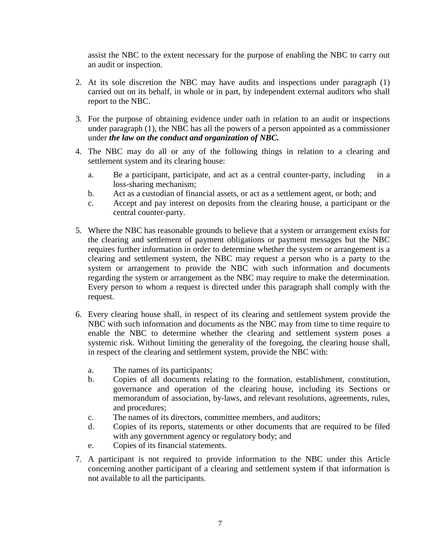assist the NBC to the extent necessary for the purpose of enabling the NBC to carry out an audit or inspection.

- 2. At its sole discretion the NBC may have audits and inspections under paragraph (1) carried out on its behalf, in whole or in part, by independent external auditors who shall report to the NBC.
- 3. For the purpose of obtaining evidence under oath in relation to an audit or inspections under paragraph (1), the NBC has all the powers of a person appointed as a commissioner under *the law on the conduct and organization of NBC.*
- 4. The NBC may do all or any of the following things in relation to a clearing and settlement system and its clearing house:
	- a. Be a participant, participate, and act as a central counter-party, including in a loss-sharing mechanism;
	- b. Act as a custodian of financial assets, or act as a settlement agent, or both; and
	- c. Accept and pay interest on deposits from the clearing house, a participant or the central counter-party.
- 5. Where the NBC has reasonable grounds to believe that a system or arrangement exists for the clearing and settlement of payment obligations or payment messages but the NBC requires further information in order to determine whether the system or arrangement is a clearing and settlement system, the NBC may request a person who is a party to the system or arrangement to provide the NBC with such information and documents regarding the system or arrangement as the NBC may require to make the determination. Every person to whom a request is directed under this paragraph shall comply with the request.
- 6. Every clearing house shall, in respect of its clearing and settlement system provide the NBC with such information and documents as the NBC may from time to time require to enable the NBC to determine whether the clearing and settlement system poses a systemic risk. Without limiting the generality of the foregoing, the clearing house shall, in respect of the clearing and settlement system, provide the NBC with:
	- a. The names of its participants;
	- b. Copies of all documents relating to the formation, establishment, constitution, governance and operation of the clearing house, including its Sections or memorandum of association, by-laws, and relevant resolutions, agreements, rules, and procedures;
	- c. The names of its directors, committee members, and auditors;
	- d. Copies of its reports, statements or other documents that are required to be filed with any government agency or regulatory body; and
	- e. Copies of its financial statements.
- 7. A participant is not required to provide information to the NBC under this Article concerning another participant of a clearing and settlement system if that information is not available to all the participants.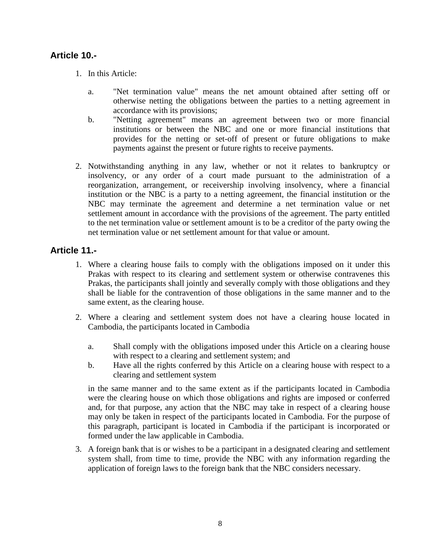## **Article 10.-**

- 1. In this Article:
	- a. "Net termination value" means the net amount obtained after setting off or otherwise netting the obligations between the parties to a netting agreement in accordance with its provisions;
	- b. "Netting agreement" means an agreement between two or more financial institutions or between the NBC and one or more financial institutions that provides for the netting or set-off of present or future obligations to make payments against the present or future rights to receive payments.
- 2. Notwithstanding anything in any law, whether or not it relates to bankruptcy or insolvency, or any order of a court made pursuant to the administration of a reorganization, arrangement, or receivership involving insolvency, where a financial institution or the NBC is a party to a netting agreement, the financial institution or the NBC may terminate the agreement and determine a net termination value or net settlement amount in accordance with the provisions of the agreement. The party entitled to the net termination value or settlement amount is to be a creditor of the party owing the net termination value or net settlement amount for that value or amount.

### **Article 11.-**

- 1. Where a clearing house fails to comply with the obligations imposed on it under this Prakas with respect to its clearing and settlement system or otherwise contravenes this Prakas, the participants shall jointly and severally comply with those obligations and they shall be liable for the contravention of those obligations in the same manner and to the same extent, as the clearing house.
- 2. Where a clearing and settlement system does not have a clearing house located in Cambodia, the participants located in Cambodia
	- a. Shall comply with the obligations imposed under this Article on a clearing house with respect to a clearing and settlement system; and
	- b. Have all the rights conferred by this Article on a clearing house with respect to a clearing and settlement system

in the same manner and to the same extent as if the participants located in Cambodia were the clearing house on which those obligations and rights are imposed or conferred and, for that purpose, any action that the NBC may take in respect of a clearing house may only be taken in respect of the participants located in Cambodia. For the purpose of this paragraph, participant is located in Cambodia if the participant is incorporated or formed under the law applicable in Cambodia.

3. A foreign bank that is or wishes to be a participant in a designated clearing and settlement system shall, from time to time, provide the NBC with any information regarding the application of foreign laws to the foreign bank that the NBC considers necessary.